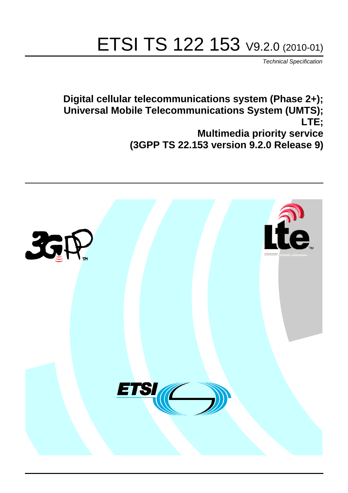# ETSI TS 122 153 V9.2.0 (2010-01)

*Technical Specification*

**Digital cellular telecommunications system (Phase 2+); Universal Mobile Telecommunications System (UMTS); LTE; Multimedia priority service (3GPP TS 22.153 version 9.2.0 Release 9)**

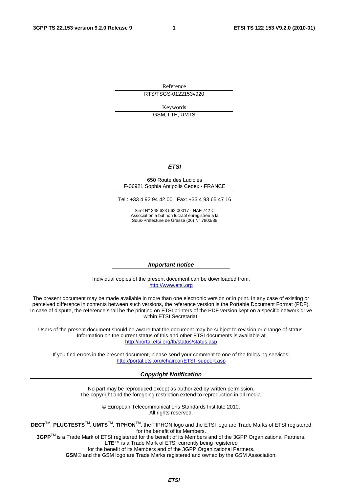Reference RTS/TSGS-0122153v920

Keywords

GSM, LTE, UMTS

#### *ETSI*

#### 650 Route des Lucioles F-06921 Sophia Antipolis Cedex - FRANCE

Tel.: +33 4 92 94 42 00 Fax: +33 4 93 65 47 16

Siret N° 348 623 562 00017 - NAF 742 C Association à but non lucratif enregistrée à la Sous-Préfecture de Grasse (06) N° 7803/88

#### *Important notice*

Individual copies of the present document can be downloaded from: [http://www.etsi.org](http://www.etsi.org/)

The present document may be made available in more than one electronic version or in print. In any case of existing or perceived difference in contents between such versions, the reference version is the Portable Document Format (PDF). In case of dispute, the reference shall be the printing on ETSI printers of the PDF version kept on a specific network drive within ETSI Secretariat.

Users of the present document should be aware that the document may be subject to revision or change of status. Information on the current status of this and other ETSI documents is available at <http://portal.etsi.org/tb/status/status.asp>

If you find errors in the present document, please send your comment to one of the following services: [http://portal.etsi.org/chaircor/ETSI\\_support.asp](http://portal.etsi.org/chaircor/ETSI_support.asp)

#### *Copyright Notification*

No part may be reproduced except as authorized by written permission. The copyright and the foregoing restriction extend to reproduction in all media.

> © European Telecommunications Standards Institute 2010. All rights reserved.

**DECT**TM, **PLUGTESTS**TM, **UMTS**TM, **TIPHON**TM, the TIPHON logo and the ETSI logo are Trade Marks of ETSI registered for the benefit of its Members.

**3GPP**TM is a Trade Mark of ETSI registered for the benefit of its Members and of the 3GPP Organizational Partners. **LTE**™ is a Trade Mark of ETSI currently being registered

for the benefit of its Members and of the 3GPP Organizational Partners.

**GSM**® and the GSM logo are Trade Marks registered and owned by the GSM Association.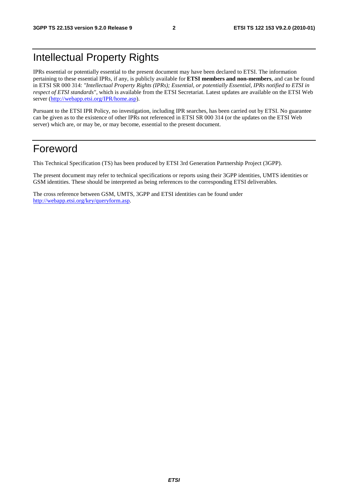# Intellectual Property Rights

IPRs essential or potentially essential to the present document may have been declared to ETSI. The information pertaining to these essential IPRs, if any, is publicly available for **ETSI members and non-members**, and can be found in ETSI SR 000 314: *"Intellectual Property Rights (IPRs); Essential, or potentially Essential, IPRs notified to ETSI in respect of ETSI standards"*, which is available from the ETSI Secretariat. Latest updates are available on the ETSI Web server [\(http://webapp.etsi.org/IPR/home.asp\)](http://webapp.etsi.org/IPR/home.asp).

Pursuant to the ETSI IPR Policy, no investigation, including IPR searches, has been carried out by ETSI. No guarantee can be given as to the existence of other IPRs not referenced in ETSI SR 000 314 (or the updates on the ETSI Web server) which are, or may be, or may become, essential to the present document.

### Foreword

This Technical Specification (TS) has been produced by ETSI 3rd Generation Partnership Project (3GPP).

The present document may refer to technical specifications or reports using their 3GPP identities, UMTS identities or GSM identities. These should be interpreted as being references to the corresponding ETSI deliverables.

The cross reference between GSM, UMTS, 3GPP and ETSI identities can be found under [http://webapp.etsi.org/key/queryform.asp.](http://webapp.etsi.org/key/queryform.asp)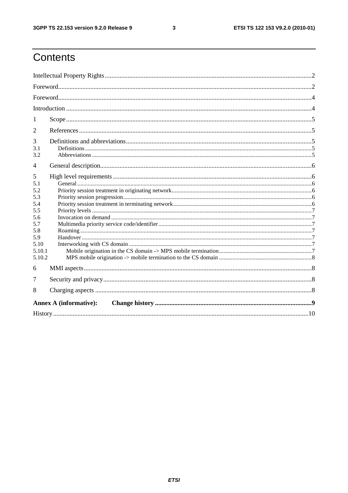$\mathbf{3}$ 

# Contents

| 1                                                                                            |  |
|----------------------------------------------------------------------------------------------|--|
| 2                                                                                            |  |
| 3<br>3.1<br>3.2                                                                              |  |
| 4                                                                                            |  |
| 5<br>5.1<br>5.2<br>5.3<br>5.4<br>5.5<br>5.6<br>5.7<br>5.8<br>5.9<br>5.10<br>5.10.1<br>5.10.2 |  |
| 6                                                                                            |  |
| 7<br>8                                                                                       |  |
| <b>Annex A (informative):</b>                                                                |  |
|                                                                                              |  |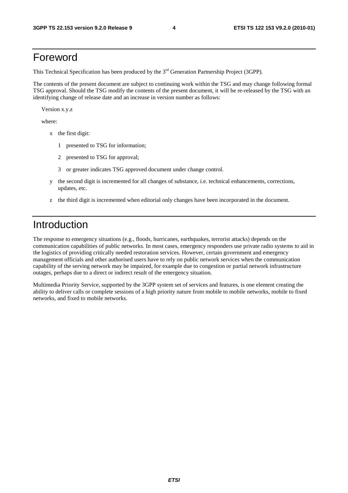### Foreword

This Technical Specification has been produced by the 3<sup>rd</sup> Generation Partnership Project (3GPP).

The contents of the present document are subject to continuing work within the TSG and may change following formal TSG approval. Should the TSG modify the contents of the present document, it will be re-released by the TSG with an identifying change of release date and an increase in version number as follows:

Version x.y.z

where:

- x the first digit:
	- 1 presented to TSG for information;
	- 2 presented to TSG for approval;
	- 3 or greater indicates TSG approved document under change control.
- y the second digit is incremented for all changes of substance, i.e. technical enhancements, corrections, updates, etc.
- z the third digit is incremented when editorial only changes have been incorporated in the document.

# Introduction

The response to emergency situations (e.g., floods, hurricanes, earthquakes, terrorist attacks) depends on the communication capabilities of public networks. In most cases, emergency responders use private radio systems to aid in the logistics of providing critically needed restoration services. However, certain government and emergency management officials and other authorised users have to rely on public network services when the communication capability of the serving network may be impaired, for example due to congestion or partial network infrastructure outages, perhaps due to a direct or indirect result of the emergency situation.

Multimedia Priority Service, supported by the 3GPP system set of services and features, is one element creating the ability to deliver calls or complete sessions of a high priority nature from mobile to mobile networks, mobile to fixed networks, and fixed to mobile networks.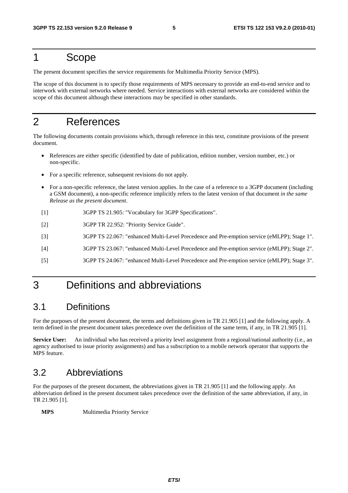### 1 Scope

The present document specifies the service requirements for Multimedia Priority Service (MPS).

The scope of this document is to specify those requirements of MPS necessary to provide an end-to-end service and to interwork with external networks where needed. Service interactions with external networks are considered within the scope of this document although these interactions may be specified in other standards.

# 2 References

The following documents contain provisions which, through reference in this text, constitute provisions of the present document.

- References are either specific (identified by date of publication, edition number, version number, etc.) or non-specific.
- For a specific reference, subsequent revisions do not apply.
- For a non-specific reference, the latest version applies. In the case of a reference to a 3GPP document (including a GSM document), a non-specific reference implicitly refers to the latest version of that document *in the same Release as the present document*.
- [1] 3GPP TS 21.905: "Vocabulary for 3GPP Specifications".
- [2] 3GPP TR 22.952: "Priority Service Guide".
- [3] 3GPP TS 22.067: "enhanced Multi-Level Precedence and Pre-emption service (eMLPP); Stage 1".
- [4] 3GPP TS 23.067: "enhanced Multi-Level Precedence and Pre-emption service (eMLPP); Stage 2".
- [5] 3GPP TS 24.067: "enhanced Multi-Level Precedence and Pre-emption service (eMLPP); Stage 3".

# 3 Definitions and abbreviations

#### 3.1 Definitions

For the purposes of the present document, the terms and definitions given in TR 21.905 [1] and the following apply. A term defined in the present document takes precedence over the definition of the same term, if any, in TR 21.905 [1].

**Service User:** An individual who has received a priority level assignment from a regional/national authority (i.e., an agency authorised to issue priority assignments) and has a subscription to a mobile network operator that supports the MPS feature.

#### 3.2 Abbreviations

For the purposes of the present document, the abbreviations given in TR 21.905 [1] and the following apply. An abbreviation defined in the present document takes precedence over the definition of the same abbreviation, if any, in TR 21.905 [1].

**MPS** Multimedia Priority Service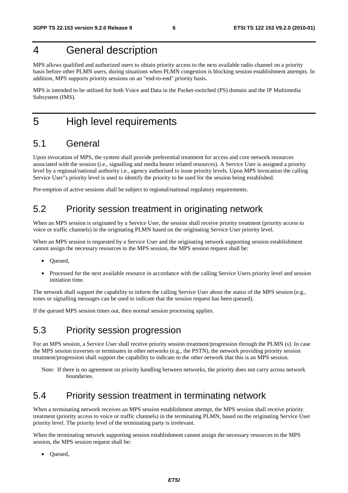# 4 General description

MPS allows qualified and authorized users to obtain priority access to the next available radio channel on a priority basis before other PLMN users, during situations when PLMN congestion is blocking session establishment attempts. In addition, MPS supports priority sessions on an "end-to-end" priority basis.

MPS is intended to be utilised for both Voice and Data in the Packet-switched (PS) domain and the IP Multimedia Subsystem (IMS).

### 5 High level requirements

#### 5.1 General

Upon invocation of MPS, the system shall provide preferential treatment for access and core network resources associated with the session (i.e., signalling and media bearer related resources). A Service User is assigned a priority level by a regional/national authority i.e., agency authorised to issue priority levels. Upon MPS invocation the calling Service User"s priority level is used to identify the priority to be used for the session being established.

Pre-emption of active sessions shall be subject to regional/national regulatory requirements.

#### 5.2 Priority session treatment in originating network

When an MPS session is originated by a Service User, the session shall receive priority treatment (priority access to voice or traffic channels) in the originating PLMN based on the originating Service User priority level.

When an MPS session is requested by a Service User and the originating network supporting session establishment cannot assign the necessary resources to the MPS session, the MPS session request shall be:

- Queued,
- Processed for the next available resource in accordance with the calling Service Users priority level and session initiation time.

The network shall support the capability to inform the calling Service User about the status of the MPS session (e.g., tones or signalling messages can be used to indicate that the session request has been queued).

If the queued MPS session times out, then normal session processing applies.

#### 5.3 Priority session progression

For an MPS session, a Service User shall receive priority session treatment/progression through the PLMN (s). In case the MPS session traverses or terminates in other networks (e.g., the PSTN), the network providing priority session treatment/progression shall support the capability to indicate to the other network that this is an MPS session.

Note: If there is no agreement on priority handling between networks, the priority does not carry across network boundaries.

#### 5.4 Priority session treatment in terminating network

When a terminating network receives an MPS session establishment attempt, the MPS session shall receive priority treatment (priority access to voice or traffic channels) in the terminating PLMN, based on the originating Service User priority level. The priority level of the terminating party is irrelevant.

When the terminating network supporting session establishment cannot assign the necessary resources to the MPS session, the MPS session request shall be:

• Queued,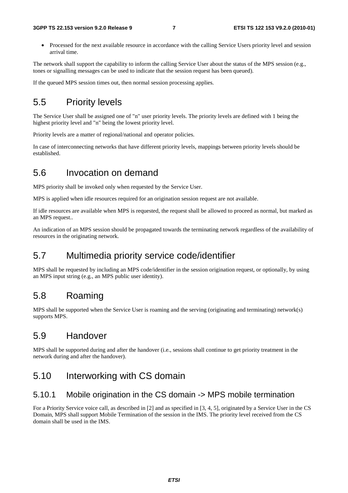• Processed for the next available resource in accordance with the calling Service Users priority level and session arrival time.

The network shall support the capability to inform the calling Service User about the status of the MPS session (e.g., tones or signalling messages can be used to indicate that the session request has been queued).

If the queued MPS session times out, then normal session processing applies.

### 5.5 Priority levels

The Service User shall be assigned one of "n" user priority levels. The priority levels are defined with 1 being the highest priority level and "n" being the lowest priority level.

Priority levels are a matter of regional/national and operator policies.

In case of interconnecting networks that have different priority levels, mappings between priority levels should be established.

#### 5.6 Invocation on demand

MPS priority shall be invoked only when requested by the Service User.

MPS is applied when idle resources required for an origination session request are not available.

If idle resources are available when MPS is requested, the request shall be allowed to proceed as normal, but marked as an MPS request..

An indication of an MPS session should be propagated towards the terminating network regardless of the availability of resources in the originating network.

#### 5.7 Multimedia priority service code/identifier

MPS shall be requested by including an MPS code/identifier in the session origination request, or optionally, by using an MPS input string (e.g., an MPS public user identity).

#### 5.8 Roaming

MPS shall be supported when the Service User is roaming and the serving (originating and terminating) network(s) supports MPS.

#### 5.9 Handover

MPS shall be supported during and after the handover (i.e., sessions shall continue to get priority treatment in the network during and after the handover).

#### 5.10 Interworking with CS domain

#### 5.10.1 Mobile origination in the CS domain -> MPS mobile termination

For a Priority Service voice call, as described in [2] and as specified in [3, 4, 5], originated by a Service User in the CS Domain, MPS shall support Mobile Termination of the session in the IMS. The priority level received from the CS domain shall be used in the IMS.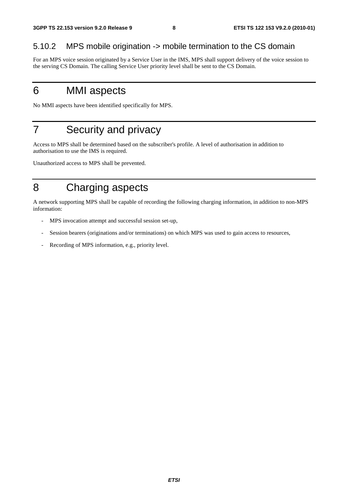#### 5.10.2 MPS mobile origination -> mobile termination to the CS domain

For an MPS voice session originated by a Service User in the IMS, MPS shall support delivery of the voice session to the serving CS Domain. The calling Service User priority level shall be sent to the CS Domain.

# 6 MMI aspects

No MMI aspects have been identified specifically for MPS.

# 7 Security and privacy

Access to MPS shall be determined based on the subscriber's profile. A level of authorisation in addition to authorisation to use the IMS is required.

Unauthorized access to MPS shall be prevented.

# 8 Charging aspects

A network supporting MPS shall be capable of recording the following charging information, in addition to non-MPS information:

- MPS invocation attempt and successful session set-up,
- Session bearers (originations and/or terminations) on which MPS was used to gain access to resources,
- Recording of MPS information, e.g., priority level.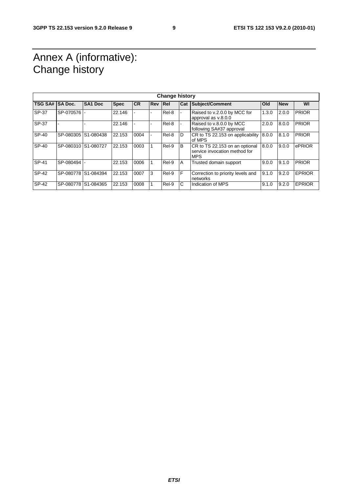# Annex A (informative): Change history

| <b>Change history</b> |           |                     |             |           |                |       |     |                                                                               |       |            |               |
|-----------------------|-----------|---------------------|-------------|-----------|----------------|-------|-----|-------------------------------------------------------------------------------|-------|------------|---------------|
| TSG SA# SA Doc.       |           | SA <sub>1</sub> Doc | <b>Spec</b> | <b>CR</b> | <b>Rev Rel</b> |       | Cat | Subject/Comment                                                               | Old   | <b>New</b> | WI            |
| SP-37                 | SP-070576 |                     | 22.146      |           |                | Rel-8 |     | Raised to v.2.0.0 by MCC for<br>approval as v.8.0.0                           | 1.3.0 | 2.0.0      | <b>PRIOR</b>  |
| <b>SP-37</b>          |           |                     | 22.146      |           |                | Rel-8 |     | Raised to v.8.0.0 by MCC<br>following SA#37 approval                          | 2.0.0 | 8.0.0      | <b>PRIOR</b>  |
| SP-40                 | SP-080305 | S1-080438           | 22.153      | 0004      |                | Rel-8 | D   | CR to TS 22.153 on applicability<br>of MPS                                    | 8.0.0 | 8.1.0      | <b>PRIOR</b>  |
| SP-40                 |           | SP-080310 S1-080727 | 22.153      | 0003      |                | Rel-9 | B   | CR to TS 22.153 on an optional<br>service invocation method for<br><b>MPS</b> | 8.0.0 | 9.0.0      | ePRIOR        |
| SP-41                 | SP-080494 |                     | 22.153      | 0006      |                | Rel-9 | ΙA  | Trusted domain support                                                        | 9.0.0 | 9.1.0      | <b>PRIOR</b>  |
| SP-42                 | SP-080778 | S1-084394           | 22.153      | 0007      | 3              | Rel-9 | F   | Correction to priority levels and<br>networks                                 | 9.1.0 | 9.2.0      | <b>EPRIOR</b> |
| SP-42                 | SP-080778 | S1-084365           | 22.153      | 0008      |                | Rel-9 | С   | Indication of MPS                                                             | 9.1.0 | 9.2.0      | <b>EPRIOR</b> |